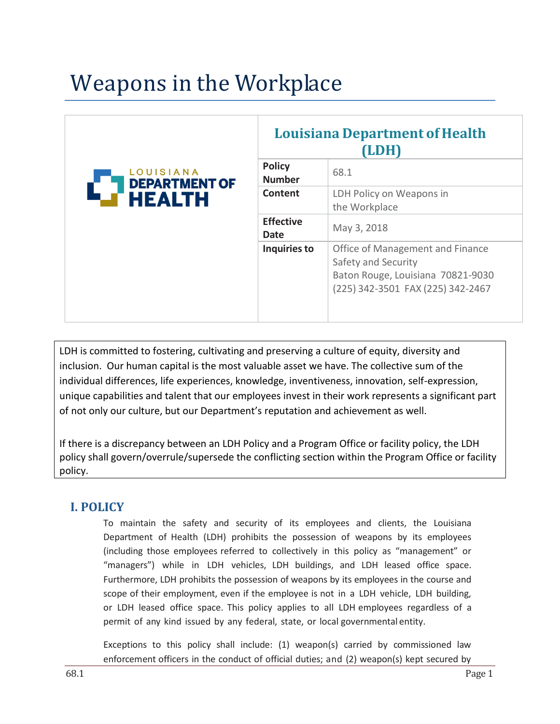# Weapons in the Workplace

| LOUISIANA<br><b>DEPARTMENT OF</b><br><b>HEALTH</b> | <b>Louisiana Department of Health</b><br>(LDH) |                                                                                                                                   |
|----------------------------------------------------|------------------------------------------------|-----------------------------------------------------------------------------------------------------------------------------------|
|                                                    | <b>Policy</b><br><b>Number</b>                 | 68.1                                                                                                                              |
|                                                    | Content                                        | LDH Policy on Weapons in<br>the Workplace                                                                                         |
|                                                    | <b>Effective</b><br>Date                       | May 3, 2018                                                                                                                       |
|                                                    | Inquiries to                                   | Office of Management and Finance<br>Safety and Security<br>Baton Rouge, Louisiana 70821-9030<br>(225) 342-3501 FAX (225) 342-2467 |

LDH is committed to fostering, cultivating and preserving a culture of equity, diversity and inclusion. Our human capital is the most valuable asset we have. The collective sum of the individual differences, life experiences, knowledge, inventiveness, innovation, self-expression, unique capabilities and talent that our employees invest in their work represents a significant part of not only our culture, but our Department's reputation and achievement as well.

If there is a discrepancy between an LDH Policy and a Program Office or facility policy, the LDH policy shall govern/overrule/supersede the conflicting section within the Program Office or facility policy.

# **I. POLICY**

To maintain the safety and security of its employees and clients, the Louisiana Department of Health (LDH) prohibits the possession of weapons by its employees (including those employees referred to collectively in this policy as "management" or "managers") while in LDH vehicles, LDH buildings, and LDH leased office space. Furthermore, LDH prohibits the possession of weapons by its employees in the course and scope of their employment, even if the employee is not in a LDH vehicle, LDH building, or LDH leased office space. This policy applies to all LDH employees regardless of a permit of any kind issued by any federal, state, or local governmental entity.

Exceptions to this policy shall include: (1) weapon(s) carried by commissioned law enforcement officers in the conduct of official duties; and (2) weapon(s) kept secured by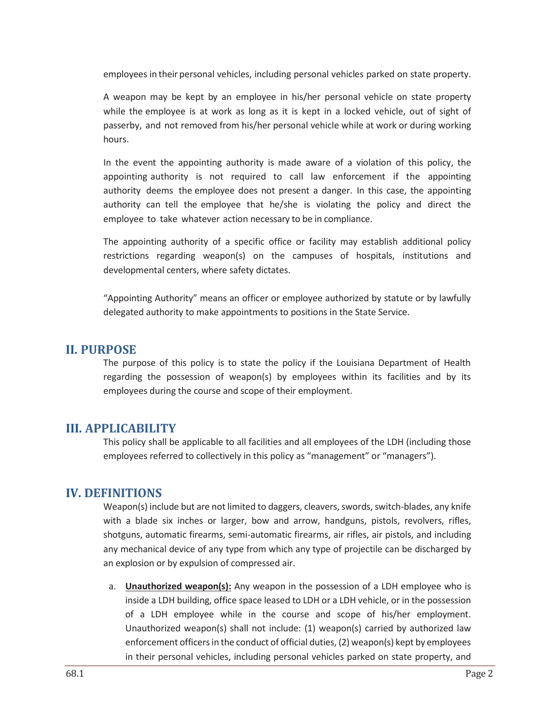employees in their personal vehicles, including personal vehicles parked on state property.

A weapon may be kept by an employee in his/her personal vehicle on state property while the employee is at work as long as it is kept in a locked vehicle, out of sight of passerby, and not removed from his/her personal vehicle while at work or during working hours.

In the event the appointing authority is made aware of a violation of this policy, the appointing authority is not required to call law enforcement if the appointing authority deems the employee does not present a danger. In this case, the appointing authority can tell the employee that he/she is violating the policy and direct the employee to take whatever action necessary to be in compliance.

The appointing authority of a specific office or facility may establish additional policy restrictions regarding weapon(s) on the campuses of hospitals, institutions and developmental centers, where safety dictates.

"Appointing Authority" means an officer or employee authorized by statute or by lawfully delegated authority to make appointments to positions in the State Service.

# **II. PURPOSE**

The purpose of this policy is to state the policy if the Louisiana Department of Health regarding the possession of weapon(s) by employees within its facilities and by its employees during the course and scope of their employment.

# **III. APPLICABILITY**

This policy shall be applicable to all facilities and all employees of the LDH (including those employees referred to collectively in this policy as "management" or "managers").

# **IV. DEFINITIONS**

Weapon(s) include but are not limited to daggers, cleavers, swords, switch-blades, any knife with a blade six inches or larger, bow and arrow, handguns, pistols, revolvers, rifles, shotguns, automatic firearms, semi‐automatic firearms, air rifles, air pistols, and including any mechanical device of any type from which any type of projectile can be discharged by an explosion or by expulsion of compressed air.

a. **Unauthorized weapon(s):** Any weapon in the possession of a LDH employee who is inside a LDH building, office space leased to LDH or a LDH vehicle, or in the possession of a LDH employee while in the course and scope of his/her employment. Unauthorized weapon(s) shall not include: (1) weapon(s) carried by authorized law enforcement officers in the conduct of official duties, (2) weapon(s) kept by employees in their personal vehicles, including personal vehicles parked on state property, and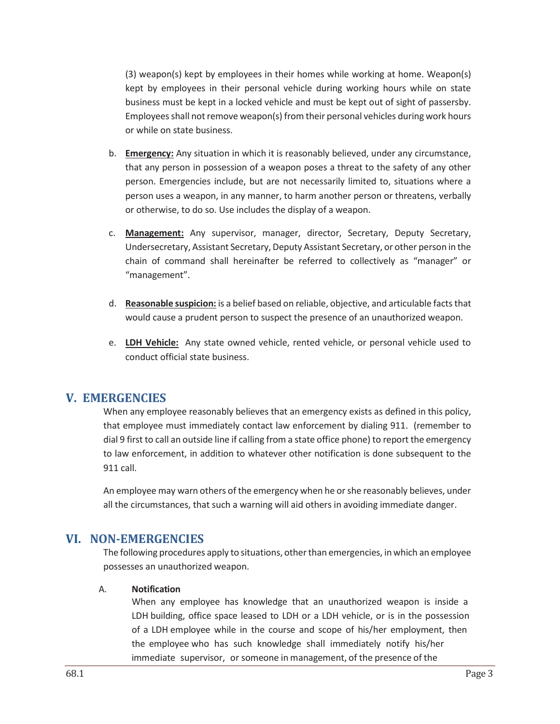(3) weapon(s) kept by employees in their homes while working at home. Weapon(s) kept by employees in their personal vehicle during working hours while on state business must be kept in a locked vehicle and must be kept out of sight of passersby. Employees shall not remove weapon(s) from their personal vehicles during work hours or while on state business.

- b. **Emergency:** Any situation in which it is reasonably believed, under any circumstance, that any person in possession of a weapon poses a threat to the safety of any other person. Emergencies include, but are not necessarily limited to, situations where a person uses a weapon, in any manner, to harm another person or threatens, verbally or otherwise, to do so. Use includes the display of a weapon.
- c. **Management:** Any supervisor, manager, director, Secretary, Deputy Secretary, Undersecretary, Assistant Secretary, Deputy Assistant Secretary, or other person in the chain of command shall hereinafter be referred to collectively as "manager" or "management".
- d. **Reasonable suspicion:** is a belief based on reliable, objective, and articulable facts that would cause a prudent person to suspect the presence of an unauthorized weapon.
- e. **LDH Vehicle:** Any state owned vehicle, rented vehicle, or personal vehicle used to conduct official state business.

# **V. EMERGENCIES**

When any employee reasonably believes that an emergency exists as defined in this policy, that employee must immediately contact law enforcement by dialing 911. (remember to dial 9 first to call an outside line if calling from a state office phone) to report the emergency to law enforcement, in addition to whatever other notification is done subsequent to the 911 call.

An employee may warn others of the emergency when he or she reasonably believes, under all the circumstances, that such a warning will aid others in avoiding immediate danger.

# **VI. NON‐EMERGENCIES**

The following procedures apply to situations, other than emergencies, in which an employee possesses an unauthorized weapon.

#### A. **Notification**

When any employee has knowledge that an unauthorized weapon is inside a LDH building, office space leased to LDH or a LDH vehicle, or is in the possession of a LDH employee while in the course and scope of his/her employment, then the employee who has such knowledge shall immediately notify his/her immediate supervisor, or someone in management, of the presence of the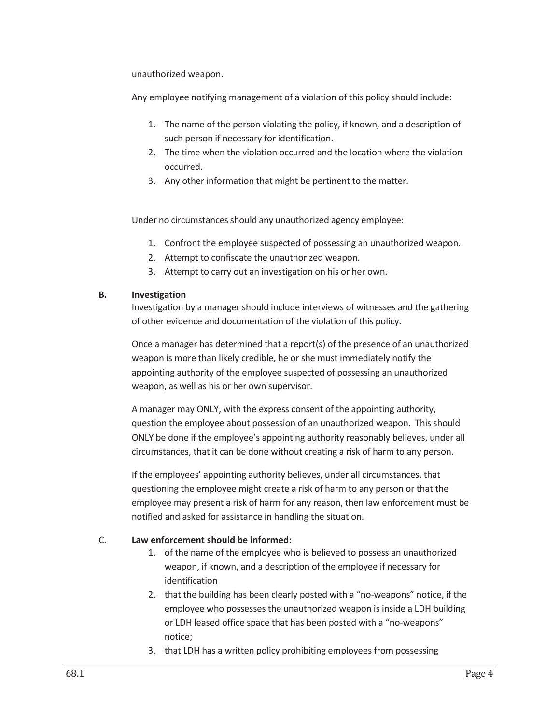unauthorized weapon.

Any employee notifying management of a violation of this policy should include:

- 1. The name of the person violating the policy, if known, and a description of such person if necessary for identification.
- 2. The time when the violation occurred and the location where the violation occurred.
- 3. Any other information that might be pertinent to the matter.

Under no circumstances should any unauthorized agency employee:

- 1. Confront the employee suspected of possessing an unauthorized weapon.
- 2. Attempt to confiscate the unauthorized weapon.
- 3. Attempt to carry out an investigation on his or her own.

#### **B. Investigation**

Investigation by a manager should include interviews of witnesses and the gathering of other evidence and documentation of the violation of this policy.

Once a manager has determined that a report(s) of the presence of an unauthorized weapon is more than likely credible, he or she must immediately notify the appointing authority of the employee suspected of possessing an unauthorized weapon, as well as his or her own supervisor.

A manager may ONLY, with the express consent of the appointing authority, question the employee about possession of an unauthorized weapon. This should ONLY be done if the employee's appointing authority reasonably believes, under all circumstances, that it can be done without creating a risk of harm to any person.

If the employees' appointing authority believes, under all circumstances, that questioning the employee might create a risk of harm to any person or that the employee may present a risk of harm for any reason, then law enforcement must be notified and asked for assistance in handling the situation.

#### C. **Law enforcement should be informed:**

- 1. of the name of the employee who is believed to possess an unauthorized weapon, if known, and a description of the employee if necessary for identification
- 2. that the building has been clearly posted with a "no‐weapons" notice, if the employee who possesses the unauthorized weapon is inside a LDH building or LDH leased office space that has been posted with a "no‐weapons" notice;
- 3. that LDH has a written policy prohibiting employees from possessing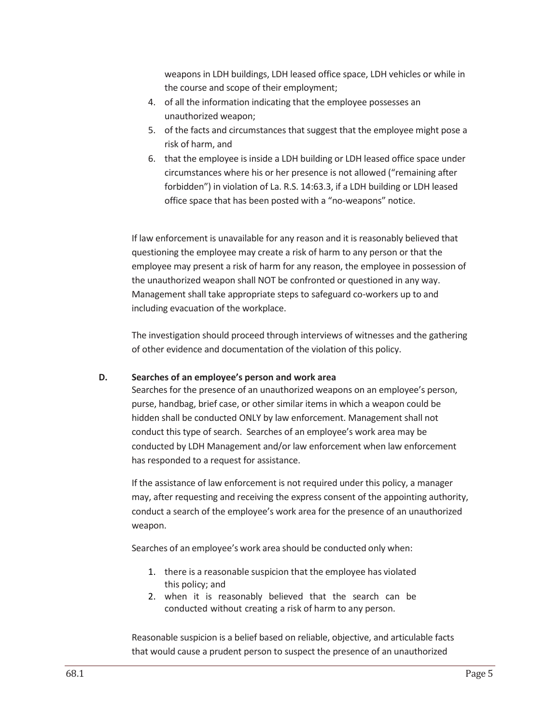weapons in LDH buildings, LDH leased office space, LDH vehicles or while in the course and scope of their employment;

- 4. of all the information indicating that the employee possesses an unauthorized weapon;
- 5. of the facts and circumstances that suggest that the employee might pose a risk of harm, and
- 6. that the employee is inside a LDH building or LDH leased office space under circumstances where his or her presence is not allowed ("remaining after forbidden") in violation of La. R.S. 14:63.3, if a LDH building or LDH leased office space that has been posted with a "no‐weapons" notice.

If law enforcement is unavailable for any reason and it is reasonably believed that questioning the employee may create a risk of harm to any person or that the employee may present a risk of harm for any reason, the employee in possession of the unauthorized weapon shall NOT be confronted or questioned in any way. Management shall take appropriate steps to safeguard co-workers up to and including evacuation of the workplace.

The investigation should proceed through interviews of witnesses and the gathering of other evidence and documentation of the violation of this policy.

#### **D. Searches of an employee's person and work area**

Searches for the presence of an unauthorized weapons on an employee's person, purse, handbag, brief case, or other similar items in which a weapon could be hidden shall be conducted ONLY by law enforcement. Management shall not conduct this type of search. Searches of an employee's work area may be conducted by LDH Management and/or law enforcement when law enforcement has responded to a request for assistance.

If the assistance of law enforcement is not required under this policy, a manager may, after requesting and receiving the express consent of the appointing authority, conduct a search of the employee's work area for the presence of an unauthorized weapon.

Searches of an employee's work area should be conducted only when:

- 1. there is a reasonable suspicion that the employee has violated this policy; and
- 2. when it is reasonably believed that the search can be conducted without creating a risk of harm to any person.

Reasonable suspicion is a belief based on reliable, objective, and articulable facts that would cause a prudent person to suspect the presence of an unauthorized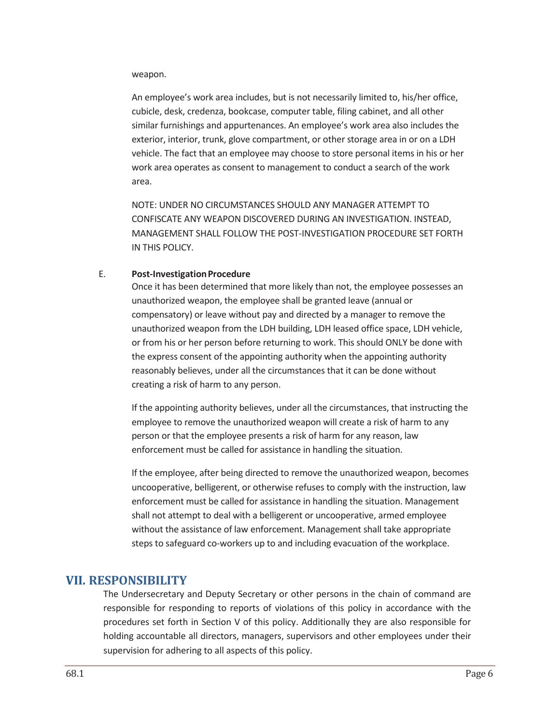#### weapon.

An employee's work area includes, but is not necessarily limited to, his/her office, cubicle, desk, credenza, bookcase, computer table, filing cabinet, and all other similar furnishings and appurtenances. An employee's work area also includes the exterior, interior, trunk, glove compartment, or other storage area in or on a LDH vehicle. The fact that an employee may choose to store personal items in his or her work area operates as consent to management to conduct a search of the work area.

NOTE: UNDER NO CIRCUMSTANCES SHOULD ANY MANAGER ATTEMPT TO CONFISCATE ANY WEAPON DISCOVERED DURING AN INVESTIGATION. INSTEAD, MANAGEMENT SHALL FOLLOW THE POST‐INVESTIGATION PROCEDURE SET FORTH IN THIS POLICY.

#### E. **Post‐InvestigationProcedure**

Once it has been determined that more likely than not, the employee possesses an unauthorized weapon, the employee shall be granted leave (annual or compensatory) or leave without pay and directed by a manager to remove the unauthorized weapon from the LDH building, LDH leased office space, LDH vehicle, or from his or her person before returning to work. This should ONLY be done with the express consent of the appointing authority when the appointing authority reasonably believes, under all the circumstances that it can be done without creating a risk of harm to any person.

If the appointing authority believes, under all the circumstances, that instructing the employee to remove the unauthorized weapon will create a risk of harm to any person or that the employee presents a risk of harm for any reason, law enforcement must be called for assistance in handling the situation.

If the employee, after being directed to remove the unauthorized weapon, becomes uncooperative, belligerent, or otherwise refuses to comply with the instruction, law enforcement must be called for assistance in handling the situation. Management shall not attempt to deal with a belligerent or uncooperative, armed employee without the assistance of law enforcement. Management shall take appropriate steps to safeguard co-workers up to and including evacuation of the workplace.

# **VII. RESPONSIBILITY**

The Undersecretary and Deputy Secretary or other persons in the chain of command are responsible for responding to reports of violations of this policy in accordance with the procedures set forth in Section V of this policy. Additionally they are also responsible for holding accountable all directors, managers, supervisors and other employees under their supervision for adhering to all aspects of this policy.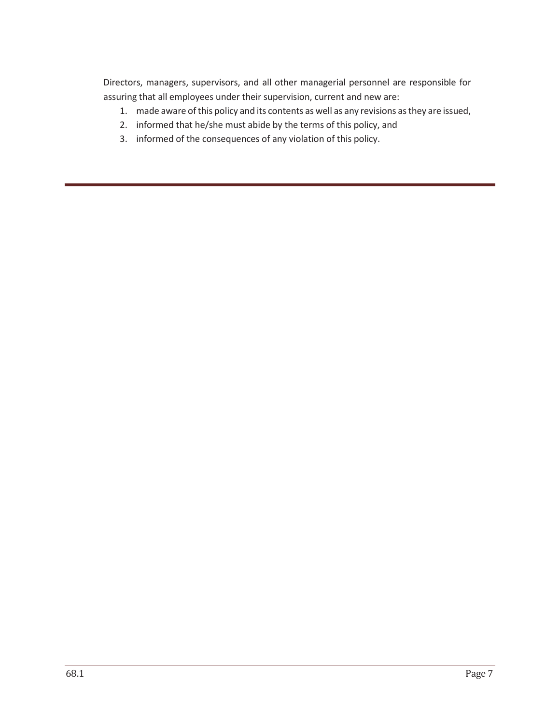Directors, managers, supervisors, and all other managerial personnel are responsible for assuring that all employees under their supervision, current and new are:

- 1. made aware ofthis policy and its contents as well as any revisions as they are issued,
- 2. informed that he/she must abide by the terms of this policy, and
- 3. informed of the consequences of any violation of this policy.